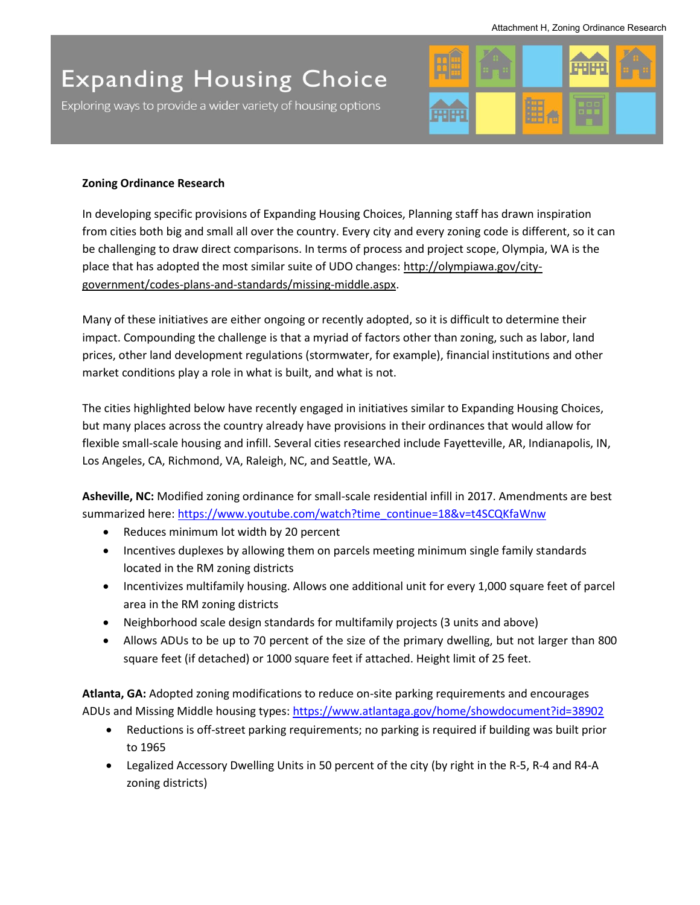## **Expanding Housing Choice**

Exploring ways to provide a wider variety of housing options



## **Zoning Ordinance Research**

In developing specific provisions of Expanding Housing Choices, Planning staff has drawn inspiration from cities both big and small all over the country. Every city and every zoning code is different, so it can be challenging to draw direct comparisons. In terms of process and project scope, Olympia, WA is the place that has adopted the most similar suite of UDO changes: [http://olympiawa.gov/city](http://olympiawa.gov/city-government/codes-plans-and-standards/missing-middle.aspx)[government/codes-plans-and-standards/missing-middle.aspx.](http://olympiawa.gov/city-government/codes-plans-and-standards/missing-middle.aspx)

Many of these initiatives are either ongoing or recently adopted, so it is difficult to determine their impact. Compounding the challenge is that a myriad of factors other than zoning, such as labor, land prices, other land development regulations (stormwater, for example), financial institutions and other market conditions play a role in what is built, and what is not.

The cities highlighted below have recently engaged in initiatives similar to Expanding Housing Choices, but many places across the country already have provisions in their ordinances that would allow for flexible small-scale housing and infill. Several cities researched include Fayetteville, AR, Indianapolis, IN, Los Angeles, CA, Richmond, VA, Raleigh, NC, and Seattle, WA.

**Asheville, NC:** Modified zoning ordinance for small-scale residential infill in 2017. Amendments are best summarized here: [https://www.youtube.com/watch?time\\_continue=18&v=t4SCQKfaWnw](https://www.youtube.com/watch?time_continue=18&v=t4SCQKfaWnw)

- Reduces minimum lot width by 20 percent
- Incentives duplexes by allowing them on parcels meeting minimum single family standards located in the RM zoning districts
- Incentivizes multifamily housing. Allows one additional unit for every 1,000 square feet of parcel area in the RM zoning districts
- Neighborhood scale design standards for multifamily projects (3 units and above)
- Allows ADUs to be up to 70 percent of the size of the primary dwelling, but not larger than 800 square feet (if detached) or 1000 square feet if attached. Height limit of 25 feet.

**Atlanta, GA:** Adopted zoning modifications to reduce on-site parking requirements and encourages ADUs and Missing Middle housing types:<https://www.atlantaga.gov/home/showdocument?id=38902>

- Reductions is off-street parking requirements; no parking is required if building was built prior to 1965
- Legalized Accessory Dwelling Units in 50 percent of the city (by right in the R-5, R-4 and R4-A zoning districts)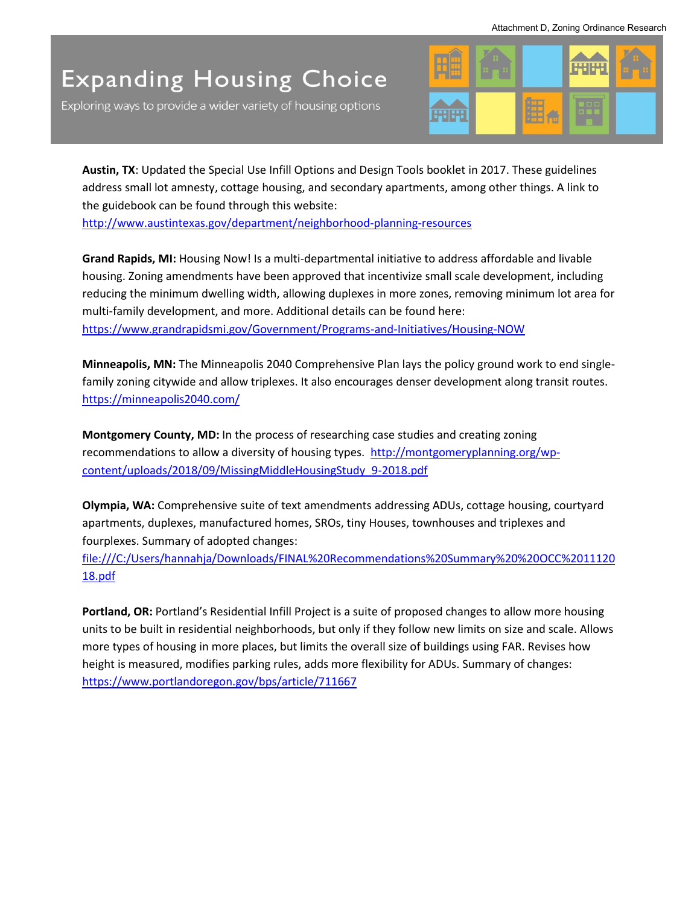## **Expanding Housing Choice**

Exploring ways to provide a wider variety of housing options



**Austin, TX**: Updated the Special Use Infill Options and Design Tools booklet in 2017. These guidelines address small lot amnesty, cottage housing, and secondary apartments, among other things. A link to the guidebook can be found through this website:

<http://www.austintexas.gov/department/neighborhood-planning-resources>

**Grand Rapids, MI:** Housing Now! Is a multi-departmental initiative to address affordable and livable housing. Zoning amendments have been approved that incentivize small scale development, including reducing the minimum dwelling width, allowing duplexes in more zones, removing minimum lot area for multi-family development, and more. Additional details can be found here: <https://www.grandrapidsmi.gov/Government/Programs-and-Initiatives/Housing-NOW>

**Minneapolis, MN:** The Minneapolis 2040 Comprehensive Plan lays the policy ground work to end singlefamily zoning citywide and allow triplexes. It also encourages denser development along transit routes. <https://minneapolis2040.com/>

**Montgomery County, MD:** In the process of researching case studies and creating zoning recommendations to allow a diversity of housing types. [http://montgomeryplanning.org/wp](http://montgomeryplanning.org/wp-content/uploads/2018/09/MissingMiddleHousingStudy_9-2018.pdf)[content/uploads/2018/09/MissingMiddleHousingStudy\\_9-2018.pdf](http://montgomeryplanning.org/wp-content/uploads/2018/09/MissingMiddleHousingStudy_9-2018.pdf) 

**Olympia, WA:** Comprehensive suite of text amendments addressing ADUs, cottage housing, courtyard apartments, duplexes, manufactured homes, SROs, tiny Houses, townhouses and triplexes and fourplexes. Summary of adopted changes:

[file:///C:/Users/hannahja/Downloads/FINAL%20Recommendations%20Summary%20%20OCC%2011120](file:///C:/Users/hannahja/Downloads/FINAL%20Recommendations%20Summary%20%20OCC%201112018.pdf) [18.pdf](file:///C:/Users/hannahja/Downloads/FINAL%20Recommendations%20Summary%20%20OCC%201112018.pdf)

**Portland, OR:** Portland's Residential Infill Project is a suite of proposed changes to allow more housing units to be built in residential neighborhoods, but only if they follow new limits on size and scale. Allows more types of housing in more places, but limits the overall size of buildings using FAR. Revises how height is measured, modifies parking rules, adds more flexibility for ADUs. Summary of changes: <https://www.portlandoregon.gov/bps/article/711667>